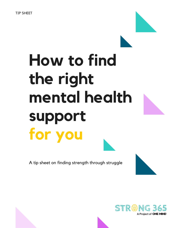# **How to find the right mental health support for you**

A tip sheet on finding strength through struggle

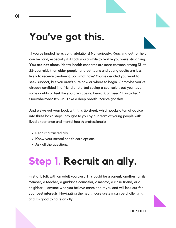### **You've got this.**

If you've landed here, congratulations! No, seriously. Reaching out for help can be hard, especially if it took you a while to realize you were struggling. **You are not alone.** Mental health concerns are more common among 13- to 25-year-olds than older people, and yet teens and young adults are less likely to receive treatment. So, what now? You've decided you want to seek support, but you aren't sure how or where to begin. Or maybe you've already confided in a friend or started seeing a counselor, but you have some doubts or feel like you aren't being heard. Confused? Frustrated? Overwhelmed? It's OK. Take a deep breath. You've got this!

And we've got your back with this tip sheet, which packs a ton of advice into three basic steps, brought to you by our team of young people with lived experience and mental health professionals:

- Recruit a trusted ally.
- Know your mental health care options.
- Ask all the questions.

## **Step 1. Recruit an ally.**

First off, talk with an adult you trust. This could be a parent, another family member, a teacher, a guidance counselor, a mentor, a close friend, or a neighbor — anyone who you believe cares about you and will look out for your best interests. Navigating the health care system can be challenging, and it's good to have an ally.



TIP SHEET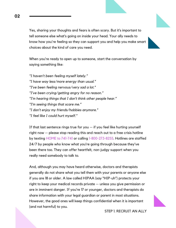Yes, sharing your thoughts and fears is often scary. But it's important to tell someone else what's going on inside your head. Your ally needs to know how you're feeling so they can support you and help you make smart choices about the kind of care you need.

When you're ready to open up to someone, start the conversation by saying something like:

*"I haven't been feeling myself lately." "I have way less/more energy than usual." "I've been feeling nervous/very sad a lot." "I've been crying/getting angry for no reason." "I'm hearing things that I don't think other people hear." "I'm seeing things that scare me." "I don't enjoy my friends/hobbies anymore." "I feel like I could hurt myself."*

If that last sentence rings true for you  $-$  if you feel like hurting yourself right now — please stop reading this and reach out to a free crisis hotline by texting HOME to 741-741 or calling 1-800-273-8255. Hotlines are staffed 24/7 by people who know what you're going through because they've been there too. They can offer heartfelt, non-judgy support when you really need somebody to talk to.

And, although you may have heard otherwise, doctors and therapists generally do not share what you tell them with your parents or anyone else if you are 18 or older. A law called HIPAA (say "HIP-uh") protects your right to keep your medical records private — unless you give permission or are in imminent danger. If you're 17 or younger, doctors and therapists do share information with your legal guardian or parent in most situations. However, the good ones will keep things confidential when it is important (and not harmful) to you.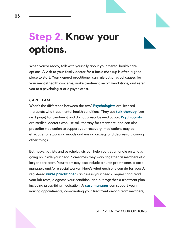### **Step 2. Know your options.**

When you're ready, talk with your ally about your mental health care options. A visit to your family doctor for a basic checkup is often a good place to start. Your general practitioner can rule out physical causes for your mental health concerns, make treatment recommendations, and refer you to a psychologist or a psychiatrist.

### **CARE TEAM**

What's the difference between the two? **Psychologists** are licensed therapists who treat mental health conditions. They use **talk therapy** (see next page) for treatment and do not prescribe medication. **Psychiatrists** are medical doctors who use talk therapy for treatment, and can also prescribe medication to support your recovery. Medications may be effective for stabilizing moods and easing anxiety and depression, among other things.

Both psychiatrists and psychologists can help you get a handle on what's going on inside your head. Sometimes they work together as members of a larger care team. Your team may also include a nurse practitioner, a case manager, and/or a social worker. Here's what each one can do for you: A registered **nurse practitioner** can assess your needs, request and read your lab tests, diagnose your condition, and put together a treatment plan, including prescribing medication. A **case manager** can support you in making appointments, coordinating your treatment among team members,

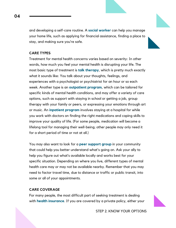and developing a self-care routine. A **social worker** can help you manage your home life, such as applying for financial assistance, finding a place to stay, and making sure you're safe.

#### **CARE TYPES**

Treatment for mental health concerns varies based on severity: In other words, how much you feel your mental health is disrupting your life. The most basic type of treatment is **talk therapy**, which is pretty much exactly what it sounds like: You talk about your thoughts, feelings, and experiences with a psychologist or psychiatrist for an hour or so each week. Another type is an **outpatient program**, which can be tailored for specific kinds of mental health conditions, and may offer a variety of care options, such as support with staying in school or getting a job, group therapy with your family or peers, or expressing your emotions through art or music. An **inpatient program** involves staying at a hospital for while you work with doctors on finding the right medications and coping skills to improve your quality of life. (For some people, medication will become a lifelong tool for managing their well-being; other people may only need it for a short period of time or not at all.)

You may also want to look for a **peer support group** in your community that could help you better understand what's going on. Ask your ally to help you figure out what's available locally and works best for your specific situation. Depending on where you live, different types of mental health care may or may not be available nearby. Remember that you may need to factor travel time, due to distance or traffic or public transit, into some or all of your appointments.

#### **CARE COVERAGE**

For many people, the most difficult part of seeking treatment is dealing with **health insurance**. If you are covered by a private policy, either your

STEP 2. KNOW YOUR OPTIONS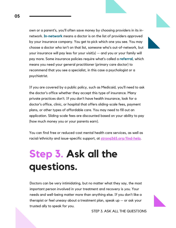own or a parent's, you'll often save money by choosing providers in its innetwork. **In-network** means a doctor is on the list of providers approved by your insurance company. You get to pick which one you see. You may choose a doctor who isn't on that list, someone who's out-of-network, but your insurance will pay less for your visit(s) — and you or your family will pay more. Some insurance policies require what's called a **referral**, which means you need your general practitioner (primary care doctor) to recommend that you see a specialist, in this case a psychologist or a psychiatrist.

If you are covered by a public policy, such as Medicaid, you'll need to ask the doctor's office whether they accept this type of insurance. Many private practices don't. If you don't have health insurance, look for a doctor's office, clinic, or hospital that offers sliding-scale fees, payment plans, or other types of affordable care. You may need to fill out an application. Sliding-scale fees are discounted based on your ability to pay (how much money you or your parents earn).

You can find free or reduced-cost mental health care services, as well as racial/ethnicity and issue-specific support, at **[strong365.org/find-help](http://strong365.org/find-help)**.

### **Step 3. Ask all the questions.**

Doctors can be very intimidating, but no matter what they say, the most important person involved in your treatment and recovery is *you*. Your needs and well-being matter more than anything else. If you don't like a therapist or feel uneasy about a treatment plan, speak up — or ask your trusted ally to speak for you.

STEP 3. ASK ALL THE QUESTIONS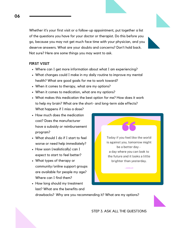Whether it's your first visit or a follow-up appointment, put together a list of the questions you have for your doctor or therapist. Do this before you go, because you may not get much face time with your physician, and you deserve answers. What are your doubts and concerns? Don't hold back. Not sure? Here are some things you may want to ask.

#### **FIRST VISIT**

- Where can I get more information about what I am experiencing?
- What changes could I make in my daily routine to improve my mental health? What are good goals for me to work toward?
- When it comes to therapy, what are my options?
- When it comes to medication, what are my options?
- What makes this medication the best option for me? How does it work to help my brain? What are the short- and long-term side effects? What happens if I miss a dose?
- How much does the medication cost? Does the manufacturer have a subsidy or reimbursement program?
- What should I do if I start to feel worse or need help immediately?
- How soon (realistically) can I expect to start to feel better?
- What types of therapy or community/online support groups are available for people my age? Where can I find them?
- How long should my treatment last? What are the benefits and

drawbacks? Why are you recommending it? What are my options?

is against you, tomorrow might be a better day a day where you can look to the future and it looks a little brighter than yesterday.

Today if you feel like the world

 $-$  A M B A R

STEP 3. ASK ALL THE QUESTIONS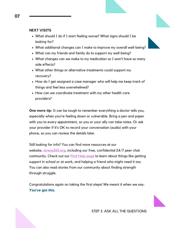#### **NEXT VISITS**

- What should I do if I start feeling worse? What signs should I be looking for?
- What additional changes can I make to improve my overall well-being?
- What can my friends and family do to support my well-being?
- What changes can we make to my medication so I won't have so many side effects?
- What other things or alternative treatments could support my recovery?
- How do I get assigned a case manager who will help me keep track of things and feel less overwhelmed?
- How can we coordinate treatment with my other health care providers?

**One more tip:** It can be tough to remember everything a doctor tells you, especially when you're feeling down or vulnerable. Bring a pen and paper with you to every appointment, so you or your ally can take notes. Or ask your provider if it's OK to record your conversation (audio) with your phone, so you can review the details later.

Still looking for info? You can find more resources at our website, [strong365.org,](http://strong365.org/) including our free, confidential 24/7 peer chat community. Check out our **Find Help [page](http://strong365.org/find-help)** to learn about things like getting support in school or at work, and helping a friend who might need it too. You can also read stories from our community about finding strength through struggle.

Congratulations again on taking the first steps! We meant it when we say: **You've got this.**